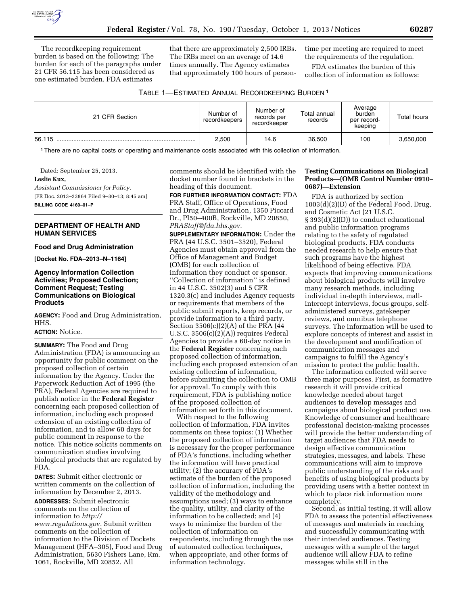

The recordkeeping requirement burden is based on the following: The burden for each of the paragraphs under 21 CFR 56.115 has been considered as one estimated burden. FDA estimates

that there are approximately 2,500 IRBs. The IRBs meet on an average of 14.6 times annually. The Agency estimates that approximately 100 hours of persontime per meeting are required to meet the requirements of the regulation.

FDA estimates the burden of this collection of information as follows:

| TABLE 1—ESTIMATED ANNUAL RECORDKEEPING BURDEN 1 |  |  |
|-------------------------------------------------|--|--|
|-------------------------------------------------|--|--|

| 21 CFR Section | Number of<br>recordkeepers | Number of<br>records per<br>recordkeeper | Total annual<br>records | Average<br>burden<br>per record-<br>keeping | Total hours |
|----------------|----------------------------|------------------------------------------|-------------------------|---------------------------------------------|-------------|
| 56.115         | 2,500                      | 14.6                                     | 36.500                  | 100                                         | 3,650,000   |

1There are no capital costs or operating and maintenance costs associated with this collection of information.

Dated: September 25, 2013. **Leslie Kux,**  *Assistant Commissioner for Policy.*  [FR Doc. 2013–23864 Filed 9–30–13; 8:45 am] **BILLING CODE 4160–01–P** 

## **DEPARTMENT OF HEALTH AND HUMAN SERVICES**

#### **Food and Drug Administration**

**[Docket No. FDA–2013–N–1164]** 

## **Agency Information Collection Activities; Proposed Collection; Comment Request; Testing Communications on Biological Products**

**AGENCY:** Food and Drug Administration, HHS.

## **ACTION:** Notice.

**SUMMARY:** The Food and Drug Administration (FDA) is announcing an opportunity for public comment on the proposed collection of certain information by the Agency. Under the Paperwork Reduction Act of 1995 (the PRA), Federal Agencies are required to publish notice in the **Federal Register**  concerning each proposed collection of information, including each proposed extension of an existing collection of information, and to allow 60 days for public comment in response to the notice. This notice solicits comments on communication studies involving biological products that are regulated by FDA.

**DATES:** Submit either electronic or written comments on the collection of information by December 2, 2013.

**ADDRESSES:** Submit electronic comments on the collection of information to *[http://](http://www.regulations.gov) [www.regulations.gov.](http://www.regulations.gov)* Submit written comments on the collection of information to the Division of Dockets Management (HFA–305), Food and Drug Administration, 5630 Fishers Lane, Rm. 1061, Rockville, MD 20852. All

comments should be identified with the docket number found in brackets in the heading of this document.

**FOR FURTHER INFORMATION CONTACT:** FDA PRA Staff, Office of Operations, Food and Drug Administration, 1350 Piccard Dr., PI50–400B, Rockville, MD 20850, *[PRAStaff@fda.hhs.gov.](mailto:PRAStaff@fda.hhs.gov)* 

**SUPPLEMENTARY INFORMATION:** Under the PRA (44 U.S.C. 3501–3520), Federal Agencies must obtain approval from the Office of Management and Budget (OMB) for each collection of information they conduct or sponsor. ''Collection of information'' is defined in 44 U.S.C. 3502(3) and 5 CFR 1320.3(c) and includes Agency requests or requirements that members of the public submit reports, keep records, or provide information to a third party. Section 3506(c)(2)(A) of the PRA (44 U.S.C. 3506(c)(2)(A)) requires Federal Agencies to provide a 60-day notice in the **Federal Register** concerning each proposed collection of information, including each proposed extension of an existing collection of information, before submitting the collection to OMB for approval. To comply with this requirement, FDA is publishing notice of the proposed collection of information set forth in this document.

With respect to the following collection of information, FDA invites comments on these topics: (1) Whether the proposed collection of information is necessary for the proper performance of FDA's functions, including whether the information will have practical utility; (2) the accuracy of FDA's estimate of the burden of the proposed collection of information, including the validity of the methodology and assumptions used; (3) ways to enhance the quality, utility, and clarity of the information to be collected; and (4) ways to minimize the burden of the collection of information on respondents, including through the use of automated collection techniques, when appropriate, and other forms of information technology.

# **Testing Communications on Biological Products—(OMB Control Number 0910– 0687)—Extension**

FDA is authorized by section 1003(d)(2)(D) of the Federal Food, Drug, and Cosmetic Act (21 U.S.C. § 393(d)(2)(D)) to conduct educational and public information programs relating to the safety of regulated biological products. FDA conducts needed research to help ensure that such programs have the highest likelihood of being effective. FDA expects that improving communications about biological products will involve many research methods, including individual in-depth interviews, mallintercept interviews, focus groups, selfadministered surveys, gatekeeper reviews, and omnibus telephone surveys. The information will be used to explore concepts of interest and assist in the development and modification of communication messages and campaigns to fulfill the Agency's mission to protect the public health.

The information collected will serve three major purposes. First, as formative research it will provide critical knowledge needed about target audiences to develop messages and campaigns about biological product use. Knowledge of consumer and healthcare professional decision-making processes will provide the better understanding of target audiences that FDA needs to design effective communication strategies, messages, and labels. These communications will aim to improve public understanding of the risks and benefits of using biological products by providing users with a better context in which to place risk information more completely.

Second, as initial testing, it will allow FDA to assess the potential effectiveness of messages and materials in reaching and successfully communicating with their intended audiences. Testing messages with a sample of the target audience will allow FDA to refine messages while still in the